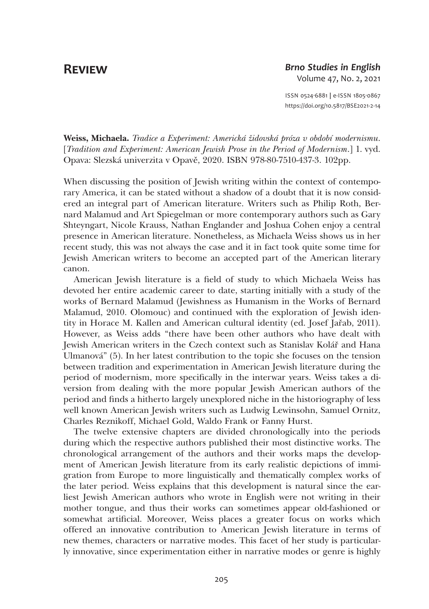## **Review**

## *Brno Studies in English* Volume 47, No. 2, 2021

ISSN 0524-6881 **|** e-ISSN 1805-0867 <https://doi.org/10.5817/BSE2021-2-14>

Weiss, Michaela. *Tradice a Experiment: Americká židovská próza v období modernismu*. [*Tradition and Experiment: American Jewish Prose in the Period of Modernism*.] 1. vyd. Opava: Slezská univerzita v Opavě, 2020. ISBN 978-80-7510-437-3. 102pp.

When discussing the position of Jewish writing within the context of contemporary America, it can be stated without a shadow of a doubt that it is now considered an integral part of American literature. Writers such as Philip Roth, Bernard Malamud and Art Spiegelman or more contemporary authors such as Gary Shteyngart, Nicole Krauss, Nathan Englander and Joshua Cohen enjoy a central presence in American literature. Nonetheless, as Michaela Weiss shows us in her recent study, this was not always the case and it in fact took quite some time for Jewish American writers to become an accepted part of the American literary canon.

American Jewish literature is a field of study to which Michaela Weiss has devoted her entire academic career to date, starting initially with a study of the works of Bernard Malamud (Jewishness as Humanism in the Works of Bernard Malamud, 2010. Olomouc) and continued with the exploration of Jewish identity in Horace M. Kallen and American cultural identity (ed. Josef Jařab, 2011). However, as Weiss adds "there have been other authors who have dealt with Jewish American writers in the Czech context such as Stanislav Kolář and Hana Ulmanová" (5). In her latest contribution to the topic she focuses on the tension between tradition and experimentation in American Jewish literature during the period of modernism, more specifically in the interwar years. Weiss takes a diversion from dealing with the more popular Jewish American authors of the period and finds a hitherto largely unexplored niche in the historiography of less well known American Jewish writers such as Ludwig Lewinsohn, Samuel Ornitz, Charles Reznikoff, Michael Gold, Waldo Frank or Fanny Hurst.

The twelve extensive chapters are divided chronologically into the periods during which the respective authors published their most distinctive works. The chronological arrangement of the authors and their works maps the development of American Jewish literature from its early realistic depictions of immigration from Europe to more linguistically and thematically complex works of the later period. Weiss explains that this development is natural since the earliest Jewish American authors who wrote in English were not writing in their mother tongue, and thus their works can sometimes appear old-fashioned or somewhat artificial. Moreover, Weiss places a greater focus on works which offered an innovative contribution to American Jewish literature in terms of new themes, characters or narrative modes. This facet of her study is particularly innovative, since experimentation either in narrative modes or genre is highly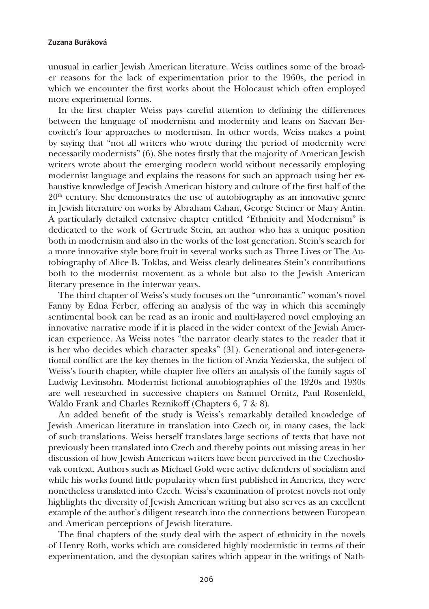## **Zuzana Buráková**

unusual in earlier Jewish American literature. Weiss outlines some of the broader reasons for the lack of experimentation prior to the 1960s, the period in which we encounter the first works about the Holocaust which often employed more experimental forms.

In the first chapter Weiss pays careful attention to defining the differences between the language of modernism and modernity and leans on Sacvan Bercovitch's four approaches to modernism. In other words, Weiss makes a point by saying that "not all writers who wrote during the period of modernity were necessarily modernists" (6). She notes firstly that the majority of American Jewish writers wrote about the emerging modern world without necessarily employing modernist language and explains the reasons for such an approach using her exhaustive knowledge of Jewish American history and culture of the first half of the  $20<sup>th</sup>$  century. She demonstrates the use of autobiography as an innovative genre in Jewish literature on works by Abraham Cahan, George Steiner or Mary Antin. A particularly detailed extensive chapter entitled "Ethnicity and Modernism" is dedicated to the work of Gertrude Stein, an author who has a unique position both in modernism and also in the works of the lost generation. Stein's search for a more innovative style bore fruit in several works such as Three Lives or The Autobiography of Alice B. Toklas, and Weiss clearly delineates Stein's contributions both to the modernist movement as a whole but also to the Jewish American literary presence in the interwar years.

The third chapter of Weiss's study focuses on the "unromantic" woman's novel Fanny by Edna Ferber, offering an analysis of the way in which this seemingly sentimental book can be read as an ironic and multi-layered novel employing an innovative narrative mode if it is placed in the wider context of the Jewish American experience. As Weiss notes "the narrator clearly states to the reader that it is her who decides which character speaks" (31). Generational and inter-generational conflict are the key themes in the fiction of Anzia Yezierska, the subject of Weiss's fourth chapter, while chapter five offers an analysis of the family sagas of Ludwig Levinsohn. Modernist fictional autobiographies of the 1920s and 1930s are well researched in successive chapters on Samuel Ornitz, Paul Rosenfeld, Waldo Frank and Charles Reznikoff (Chapters 6, 7 & 8).

An added benefit of the study is Weiss's remarkably detailed knowledge of Jewish American literature in translation into Czech or, in many cases, the lack of such translations. Weiss herself translates large sections of texts that have not previously been translated into Czech and thereby points out missing areas in her discussion of how Jewish American writers have been perceived in the Czechoslovak context. Authors such as Michael Gold were active defenders of socialism and while his works found little popularity when first published in America, they were nonetheless translated into Czech. Weiss's examination of protest novels not only highlights the diversity of Jewish American writing but also serves as an excellent example of the author's diligent research into the connections between European and American perceptions of Jewish literature.

The final chapters of the study deal with the aspect of ethnicity in the novels of Henry Roth, works which are considered highly modernistic in terms of their experimentation, and the dystopian satires which appear in the writings of Nath